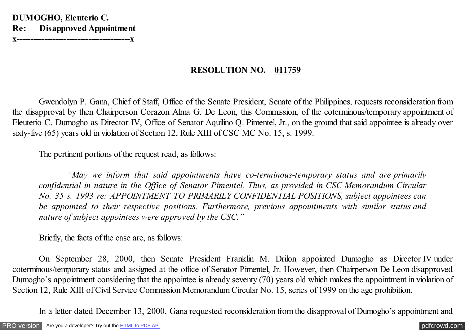## **RESOLUTION NO. 011759**

 Gwendolyn P. Gana, Chief of Staff, Office of the Senate President, Senate of the Philippines, requests reconsideration from the disapproval by then Chairperson Corazon Alma G. De Leon, this Commission, of the coterminous/temporary appointment of Eleuterio C. Dumogho as Director IV, Office of Senator Aquilino Q. Pimentel, Jr., on the ground that said appointee is already over sixty-five (65) years old in violation of Section 12, Rule XIII of CSC MC No. 15, s. 1999.

The pertinent portions of the request read, as follows:

 *"May we inform that said appointments have co-terminous-temporary status and are primarily confidential in nature in the Office of Senator Pimentel. Thus, as provided in CSC Memorandum Circular No. 35 s. 1993 re: APPOINTMENT TO PRIMARILY CONFIDENTIAL POSITIONS, subject appointees can be appointed to their respective positions. Furthermore, previous appointments with similar status and nature of subject appointees were approved by the CSC."*

Briefly, the facts of the case are, as follows:

On September 28, 2000, then Senate President Franklin M. Drilon appointed Dumogho as Director IV under coterminous/temporary status and assigned at the office of Senator Pimentel, Jr. However, then Chairperson De Leon disapproved Dumogho's appointment considering that the appointee is already seventy (70) years old which makes the appointment in violation of Section 12, Rule XIII of Civil Service Commission Memorandum Circular No. 15, series of 1999 on the age prohibition.

In a letter dated December 13, 2000, Gana requested reconsideration from the disapproval of Dumogho's appointment and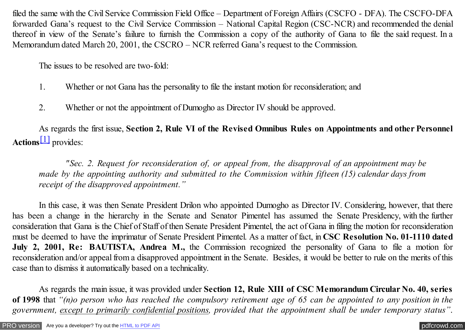<span id="page-1-0"></span>filed the same with the Civil Service Commission Field Office – Department of Foreign Affairs (CSCFO - DFA). The CSCFO-DFA forwarded Gana's request to the Civil Service Commission – National Capital Region (CSC-NCR) and recommended the denial thereof in view of the Senate's failure to furnish the Commission a copy of the authority of Gana to file the said request. In a Memorandum dated March 20, 2001, the CSCRO – NCR referred Gana's request to the Commission.

The issues to be resolved are two-fold:

- 1. Whether or not Gana has the personality to file the instant motion for reconsideration; and
- 2. Whether or not the appointment of Dumogho as Director IV should be approved.

As regards the first issue, **Section 2, Rule VI of the Revised Omnibus Rules on Appointments and other Personnel Actions**[\[1\]](#page-5-0) provides:

*"Sec. 2. Request for reconsideration of, or appeal from, the disapproval of an appointment may be made by the appointing authority and submitted to the Commission within fifteen (15) calendar days from receipt of the disapproved appointment."*

In this case, it was then Senate President Drilon who appointed Dumogho as Director IV. Considering, however, that there has been a change in the hierarchy in the Senate and Senator Pimentel has assumed the Senate Presidency, with the further consideration that Gana is the Chief of Staff of then Senate President Pimentel, the act of Gana in filing the motion for reconsideration must be deemed to have the imprimatur of Senate President Pimentel. As a matter of fact, in **CSC Resolution No. 01-1110 dated July 2, 2001, Re: BAUTISTA, Andrea M.,** the Commission recognized the personality of Gana to file a motion for reconsideration and/or appeal from a disapproved appointment in the Senate. Besides, it would be better to rule on the merits of this case than to dismiss it automatically based on a technicality.

 As regards the main issue, it was provided under **Section 12, Rule XIII of CSC Memorandum Circular No. 40, series of 1998** that *"(n)o person who has reached the compulsory retirement age of 65 can be appointed to any position in the government, except to primarily confidential positions, provided that the appointment shall be under temporary status"*.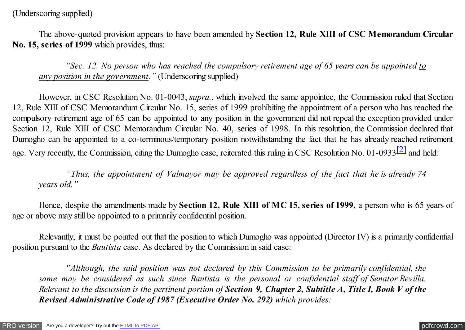<span id="page-2-0"></span> The above-quoted provision appears to have been amended by **Section 12, Rule XIII of CSC Memorandum Circular No. 15, series of 1999** which provides, thus:

 *"Sec. 12. No person who has reached the compulsory retirement age of 65 years can be appointed to any position in the government."* (Underscoring supplied)

 However, in CSC Resolution No. 01-0043, *supra.*, which involved the same appointee, the Commission ruled that Section 12, Rule XIII of CSC Memorandum Circular No. 15, series of 1999 prohibiting the appointment of a person who has reached the compulsory retirement age of 65 can be appointed to any position in the government did not repeal the exception provided under Section 12, Rule XIII of CSC Memorandum Circular No. 40, series of 1998. In this resolution, the Commission declared that Dumogho can be appointed to a co-terminous/temporary position notwithstanding the fact that he has already reached retirement age. Very recently, the Commission, citing the Dumogho case, reiterated this ruling in CSC Resolution No. 01-0933<sup>[2]</sup> and held:

 *"Thus, the appointment of Valmayor may be approved regardless of the fact that he is already 74 years old."*

Hence, despite the amendments made by **Section 12, Rule XIII of MC 15, series of 1999,** a person who is 65 years of age or above may still be appointed to a primarily confidential position.

Relevantly, it must be pointed out that the position to which Dumogho was appointed (Director IV) is a primarily confidential position pursuant to the *Bautista* case. As declared by the Commission in said case:

 *"Although, the said position was not declared by this Commission to be primarily confidential, the same may be considered as such since Bautista is the personal or confidential staff of Senator Revilla. Relevant to the discussion is the pertinent portion of Section 9, Chapter 2, Subtitle A, Title I, Book V of the Revised Administrative Code of 1987 (Executive Order No. 292) which provides:*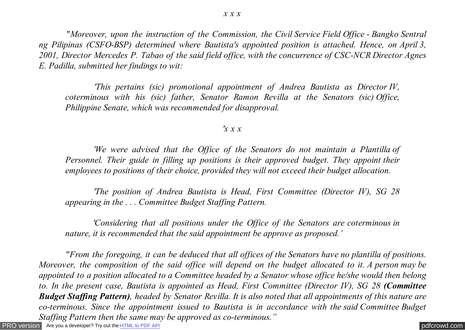*x x x*

 *"Moreover, upon the instruction of the Commission, the Civil Service Field Office - Bangko Sentral ng Pilipinas (CSFO-BSP) determined where Bautista's appointed position is attached. Hence, on April 3, 2001, Director Mercedes P. Tabao of the said field office, with the concurrence of CSC-NCR Director Agnes E. Padilla, submitted her findings to wit:*

 *'This pertains (sic) promotional appointment of Andrea Bautista as Director IV, coterminous with his (sic) father, Senator Ramon Revilla at the Senators (sic) Office, Philippine Senate, which was recommended for disapproval.*

## *'x x x*

 *'We were advised that the Office of the Senators do not maintain a Plantilla of Personnel. Their guide in filling up positions is their approved budget. They appoint their employees to positions of their choice, provided they will not exceed their budget allocation.*

 *'The position of Andrea Bautista is Head, First Committee (Director IV), SG 28 appearing in the . . . Committee Budget Staffing Pattern.*

 *'Considering that all positions under the Office of the Senators are coterminous in nature, it is recommended that the said appointment be approve as proposed.'*

[PRO version](http://pdfcrowd.com/customize/) Are you a developer? Try out th[e HTML to PDF API](http://pdfcrowd.com/html-to-pdf-api/?ref=pdf) contract the contract of the HTML to PDF API [pdfcrowd.com](http://pdfcrowd.com)  *"From the foregoing, it can be deduced that all offices of the Senators have no plantilla of positions. Moreover, the composition of the said office will depend on the budget allocated to it. A person may be appointed to a position allocated to a Committee headed by a Senator whose office he/she would then belong to. In the present case, Bautista is appointed as Head, First Committee (Director IV), SG 28 (Committee Budget Staffing Pattern), headed by Senator Revilla. It is also noted that all appointments of this nature are co-terminous. Since the appointment issued to Bautista is in accordance with the said Committee Budget Staffing Pattern then the same may be approved as co-terminous."*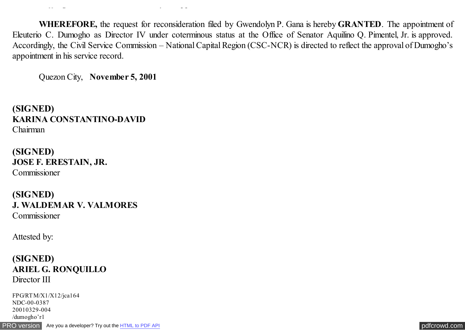**WHEREFORE,** the request for reconsideration filed by Gwendolyn P. Gana is hereby **GRANTED**. The appointment of Eleuterio C. Dumogho as Director IV under coterminous status at the Office of Senator Aquilino Q. Pimentel, Jr. is approved. Accordingly, the Civil Service Commission – National Capital Region (CSC-NCR) is directed to reflect the approval of Dumogho's appointment in his service record.

Quezon City, **November 5, 2001**

*Staffing Pattern then the same may be approved as co-terminous."*

**(SIGNED) KARINA CONSTANTINO-DAVID** Chairman

**(SIGNED) JOSE F. ERESTAIN, JR.** Commissioner

**(SIGNED) J. WALDEMAR V. VALMORES** Commissioner

Attested by:

**(SIGNED) ARIEL G. RONQUILLO** Director III

FPG/RTM/X1/X12/jca164 NDC-00-0387 20010329-004 /dumogho'r1

[PRO version](http://pdfcrowd.com/customize/) Are you a developer? Try out th[e HTML to PDF API](http://pdfcrowd.com/html-to-pdf-api/?ref=pdf) [pdfcrowd.com](http://pdfcrowd.com)